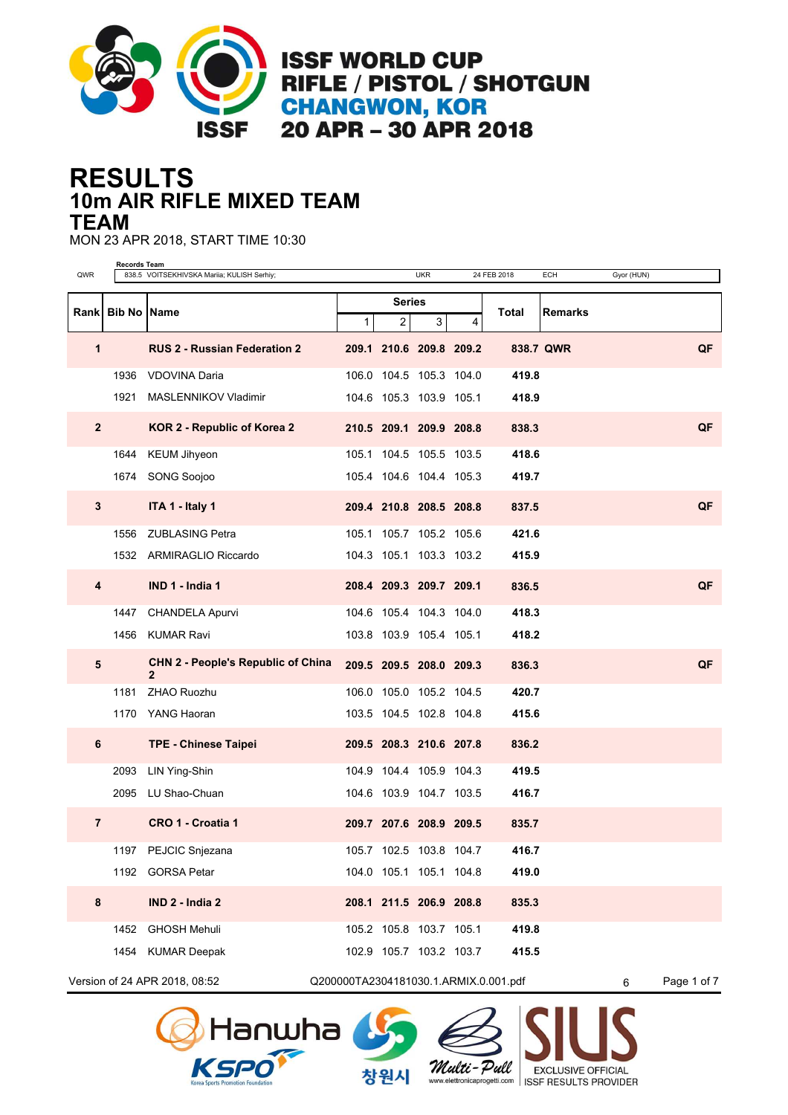

## **10m AIR RIFLE MIXED TEAM RESULTS TEAM**

MON 23 APR 2018, START TIME 10:30

| QWR                     | Records Team                                                                               | 838.5 VOITSEKHIVSKA Mariia; KULISH Serhiy;                  |             |               | <b>UKR</b>              |   | 24 FEB 2018 | ECH       | Gyor (HUN) |    |  |
|-------------------------|--------------------------------------------------------------------------------------------|-------------------------------------------------------------|-------------|---------------|-------------------------|---|-------------|-----------|------------|----|--|
|                         |                                                                                            |                                                             |             | <b>Series</b> |                         |   |             |           |            |    |  |
| Rankl                   | <b>Bib No</b><br>Name                                                                      |                                                             | $\mathbf 1$ | 2             | 3 <sup>1</sup>          | 4 | Total       | Remarks   |            |    |  |
| 1                       |                                                                                            | <b>RUS 2 - Russian Federation 2</b>                         |             |               | 209.1 210.6 209.8 209.2 |   |             | 838.7 QWR |            | QF |  |
|                         | 1936                                                                                       | <b>VDOVINA Daria</b>                                        |             |               | 106.0 104.5 105.3 104.0 |   | 419.8       |           |            |    |  |
|                         | 1921                                                                                       | MASLENNIKOV Vladimir                                        |             |               | 104.6 105.3 103.9 105.1 |   | 418.9       |           |            |    |  |
| $\overline{2}$          |                                                                                            | KOR 2 - Republic of Korea 2                                 |             |               | 210.5 209.1 209.9 208.8 |   | 838.3       |           |            | QF |  |
|                         | 1644                                                                                       | <b>KEUM Jihyeon</b>                                         |             |               | 105.1 104.5 105.5 103.5 |   | 418.6       |           |            |    |  |
|                         |                                                                                            | 1674 SONG Soojoo                                            |             |               | 105.4 104.6 104.4 105.3 |   | 419.7       |           |            |    |  |
| $\mathbf{3}$            |                                                                                            | ITA 1 - Italy 1                                             |             |               | 209.4 210.8 208.5 208.8 |   | 837.5       |           |            | QF |  |
|                         |                                                                                            | 1556 ZUBLASING Petra                                        |             |               | 105.1 105.7 105.2 105.6 |   | 421.6       |           |            |    |  |
|                         |                                                                                            | 1532 ARMIRAGLIO Riccardo                                    |             |               | 104.3 105.1 103.3 103.2 |   | 415.9       |           |            |    |  |
| $\overline{\mathbf{4}}$ |                                                                                            | IND 1 - India 1                                             |             |               | 208.4 209.3 209.7 209.1 |   | 836.5       |           |            | QF |  |
|                         |                                                                                            | 1447 CHANDELA Apurvi                                        |             |               | 104.6 105.4 104.3 104.0 |   | 418.3       |           |            |    |  |
|                         |                                                                                            | 1456 KUMAR Ravi                                             |             |               | 103.8 103.9 105.4 105.1 |   | 418.2       |           |            |    |  |
| 5                       |                                                                                            | <b>CHN 2 - People's Republic of China</b><br>$\overline{2}$ |             |               | 209.5 209.5 208.0 209.3 |   | 836.3       |           |            | QF |  |
|                         | 1181                                                                                       | <b>ZHAO Ruozhu</b>                                          |             |               | 106.0 105.0 105.2 104.5 |   | 420.7       |           |            |    |  |
|                         |                                                                                            | 1170 YANG Haoran                                            |             |               | 103.5 104.5 102.8 104.8 |   | 415.6       |           |            |    |  |
| 6                       |                                                                                            | <b>TPE - Chinese Taipei</b>                                 |             |               | 209.5 208.3 210.6 207.8 |   | 836.2       |           |            |    |  |
|                         | 2093                                                                                       | LIN Ying-Shin                                               |             |               | 104.9 104.4 105.9 104.3 |   | 419.5       |           |            |    |  |
|                         |                                                                                            | 2095 LU Shao-Chuan                                          |             |               | 104.6 103.9 104.7 103.5 |   | 416.7       |           |            |    |  |
| $\overline{7}$          |                                                                                            | CRO 1 - Croatia 1                                           |             |               | 209.7 207.6 208.9 209.5 |   | 835.7       |           |            |    |  |
|                         | 1197                                                                                       | PEJCIC Snjezana                                             |             |               | 105.7 102.5 103.8 104.7 |   | 416.7       |           |            |    |  |
|                         |                                                                                            | 1192 GORSA Petar                                            |             |               | 104.0 105.1 105.1 104.8 |   | 419.0       |           |            |    |  |
| 8                       |                                                                                            | IND 2 - India 2                                             |             |               | 208.1 211.5 206.9 208.8 |   | 835.3       |           |            |    |  |
|                         |                                                                                            | 1452 GHOSH Mehuli                                           |             |               | 105.2 105.8 103.7 105.1 |   | 419.8       |           |            |    |  |
|                         |                                                                                            | 1454 KUMAR Deepak                                           |             |               | 102.9 105.7 103.2 103.7 |   | 415.5       |           |            |    |  |
|                         | Version of 24 APR 2018, 08:52<br>Q200000TA2304181030.1.ARMIX.0.001.pdf<br>Page 1 of 7<br>6 |                                                             |             |               |                         |   |             |           |            |    |  |



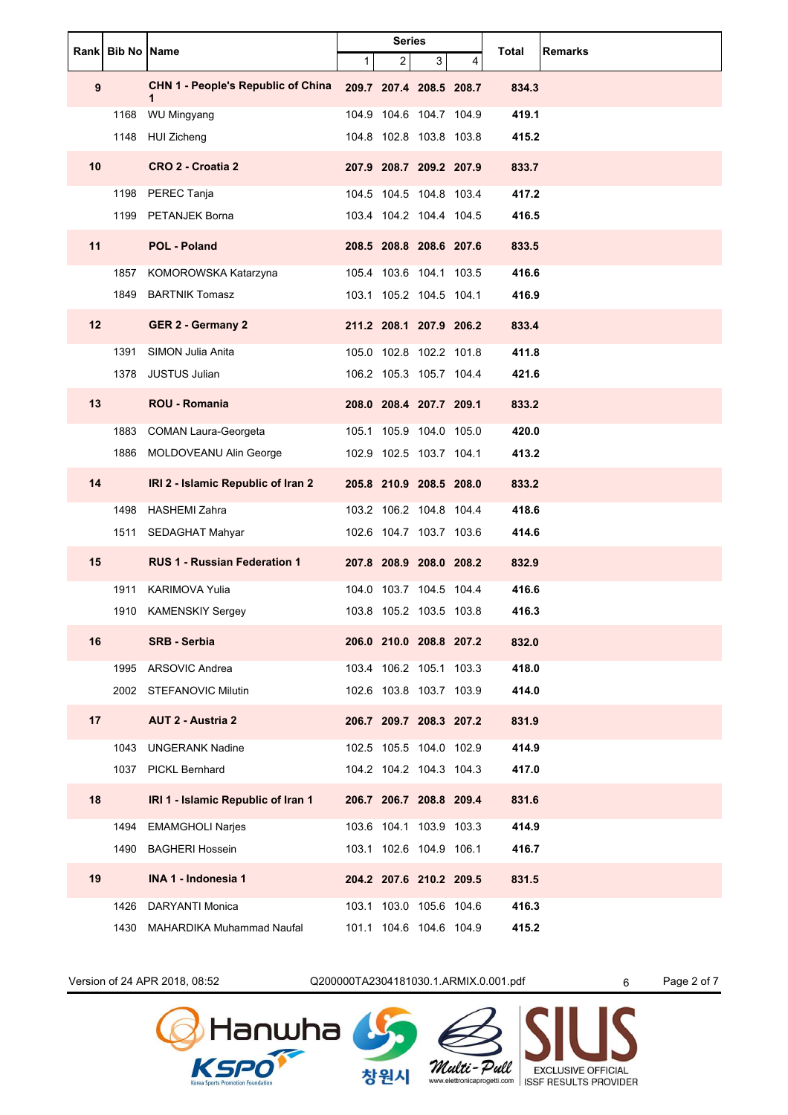|    | Rank Bib No Name |                                                | <b>Series</b> |                |                         |   |       |                |
|----|------------------|------------------------------------------------|---------------|----------------|-------------------------|---|-------|----------------|
|    |                  |                                                | $\mathbf{1}$  | $\overline{2}$ | 3                       | 4 | Total | <b>Remarks</b> |
| 9  |                  | <b>CHN 1 - People's Republic of China</b><br>1 |               |                | 209.7 207.4 208.5 208.7 |   | 834.3 |                |
|    | 1168             | WU Mingyang                                    |               |                | 104.9 104.6 104.7 104.9 |   | 419.1 |                |
|    |                  | 1148 HUI Zicheng                               |               |                | 104.8 102.8 103.8 103.8 |   | 415.2 |                |
| 10 |                  | CRO 2 - Croatia 2                              |               |                | 207.9 208.7 209.2 207.9 |   | 833.7 |                |
|    |                  | 1198 PEREC Tanja                               |               |                | 104.5 104.5 104.8 103.4 |   | 417.2 |                |
|    |                  | 1199 PETANJEK Borna                            |               |                | 103.4 104.2 104.4 104.5 |   | 416.5 |                |
| 11 |                  | POL - Poland                                   |               |                | 208.5 208.8 208.6 207.6 |   | 833.5 |                |
|    | 1857             | KOMOROWSKA Katarzyna                           |               |                | 105.4 103.6 104.1 103.5 |   | 416.6 |                |
|    |                  | 1849 BARTNIK Tomasz                            |               |                | 103.1 105.2 104.5 104.1 |   | 416.9 |                |
| 12 |                  | <b>GER 2 - Germany 2</b>                       |               |                | 211.2 208.1 207.9 206.2 |   | 833.4 |                |
|    | 1391             | SIMON Julia Anita                              |               |                | 105.0 102.8 102.2 101.8 |   | 411.8 |                |
|    |                  | 1378 JUSTUS Julian                             |               |                | 106.2 105.3 105.7 104.4 |   | 421.6 |                |
| 13 |                  | <b>ROU - Romania</b>                           |               |                | 208.0 208.4 207.7 209.1 |   | 833.2 |                |
|    | 1883             | <b>COMAN Laura-Georgeta</b>                    |               |                | 105.1 105.9 104.0 105.0 |   | 420.0 |                |
|    |                  | 1886 MOLDOVEANU Alin George                    |               |                | 102.9 102.5 103.7 104.1 |   | 413.2 |                |
| 14 |                  | IRI 2 - Islamic Republic of Iran 2             |               |                | 205.8 210.9 208.5 208.0 |   | 833.2 |                |
|    |                  | 1498 HASHEMI Zahra                             |               |                | 103.2 106.2 104.8 104.4 |   | 418.6 |                |
|    |                  | 1511 SEDAGHAT Mahyar                           |               |                | 102.6 104.7 103.7 103.6 |   | 414.6 |                |
| 15 |                  | <b>RUS 1 - Russian Federation 1</b>            |               |                | 207.8 208.9 208.0 208.2 |   | 832.9 |                |
|    | 1911             | <b>KARIMOVA Yulia</b>                          |               |                | 104.0 103.7 104.5 104.4 |   | 416.6 |                |
|    |                  | 1910 KAMENSKIY Sergey                          |               |                | 103.8 105.2 103.5 103.8 |   | 416.3 |                |
| 16 |                  | <b>SRB - Serbia</b>                            |               |                | 206.0 210.0 208.8 207.2 |   | 832.0 |                |
|    |                  | 1995 ARSOVIC Andrea                            |               |                | 103.4 106.2 105.1 103.3 |   | 418.0 |                |
|    |                  | 2002 STEFANOVIC Milutin                        |               |                | 102.6 103.8 103.7 103.9 |   | 414.0 |                |
| 17 |                  | <b>AUT 2 - Austria 2</b>                       |               |                | 206.7 209.7 208.3 207.2 |   | 831.9 |                |
|    |                  | 1043 UNGERANK Nadine                           |               |                | 102.5 105.5 104.0 102.9 |   | 414.9 |                |
|    |                  | 1037 PICKL Bernhard                            |               |                | 104.2 104.2 104.3 104.3 |   | 417.0 |                |
| 18 |                  | IRI 1 - Islamic Republic of Iran 1             |               |                | 206.7 206.7 208.8 209.4 |   | 831.6 |                |
|    | 1494             | <b>EMAMGHOLI Narjes</b>                        |               |                | 103.6 104.1 103.9 103.3 |   | 414.9 |                |
|    |                  | 1490 BAGHERI Hossein                           |               |                | 103.1 102.6 104.9 106.1 |   | 416.7 |                |
| 19 |                  | INA 1 - Indonesia 1                            |               |                | 204.2 207.6 210.2 209.5 |   | 831.5 |                |
|    |                  | 1426 DARYANTI Monica                           |               |                | 103.1 103.0 105.6 104.6 |   | 416.3 |                |
|    |                  | 1430 MAHARDIKA Muhammad Naufal                 |               |                | 101.1 104.6 104.6 104.9 |   | 415.2 |                |

Version of 24 APR 2018, 08:52 Q200000TA2304181030.1.ARMIX.0.001.pdf 6 Page 2 of 7



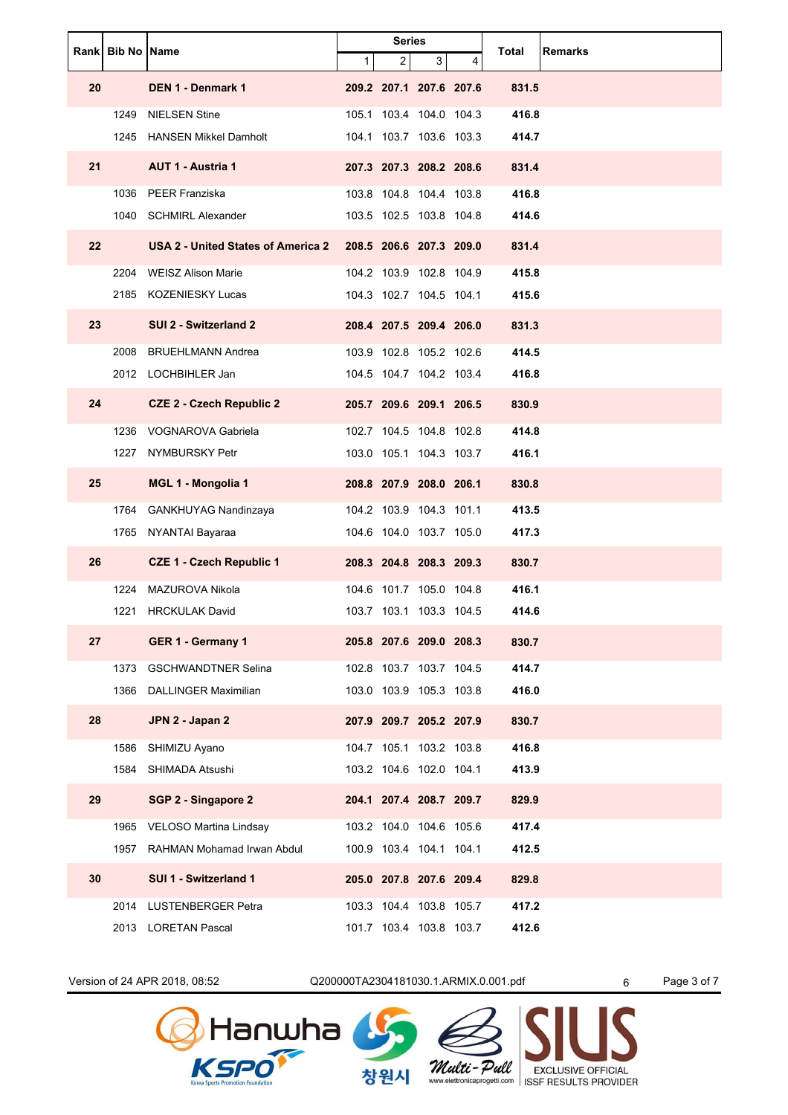|    | Rank   Bib No   Name |                                           | <b>Series</b> |                |                         | <b>Remarks</b> |       |  |
|----|----------------------|-------------------------------------------|---------------|----------------|-------------------------|----------------|-------|--|
|    |                      |                                           | $\mathbf 1$   | $\overline{2}$ | 3                       | 4              | Total |  |
| 20 |                      | DEN 1 - Denmark 1                         |               |                | 209.2 207.1 207.6 207.6 |                | 831.5 |  |
|    | 1249                 | <b>NIELSEN Stine</b>                      |               |                | 105.1 103.4 104.0 104.3 |                | 416.8 |  |
|    | 1245                 | <b>HANSEN Mikkel Damholt</b>              |               |                | 104.1 103.7 103.6 103.3 |                | 414.7 |  |
| 21 |                      | <b>AUT 1 - Austria 1</b>                  |               |                | 207.3 207.3 208.2 208.6 |                | 831.4 |  |
|    |                      | 1036 PEER Franziska                       |               |                | 103.8 104.8 104.4 103.8 |                | 416.8 |  |
|    |                      | 1040 SCHMIRL Alexander                    |               |                | 103.5 102.5 103.8 104.8 |                | 414.6 |  |
| 22 |                      | <b>USA 2 - United States of America 2</b> |               |                | 208.5 206.6 207.3 209.0 |                | 831.4 |  |
|    |                      | 2204 WEISZ Alison Marie                   |               |                | 104.2 103.9 102.8 104.9 |                | 415.8 |  |
|    |                      | 2185 KOZENIESKY Lucas                     |               |                | 104.3 102.7 104.5 104.1 |                | 415.6 |  |
| 23 |                      | SUI 2 - Switzerland 2                     |               |                | 208.4 207.5 209.4 206.0 |                | 831.3 |  |
|    | 2008                 | <b>BRUEHLMANN Andrea</b>                  |               |                | 103.9 102.8 105.2 102.6 |                | 414.5 |  |
|    |                      | 2012 LOCHBIHLER Jan                       |               |                | 104.5 104.7 104.2 103.4 |                | 416.8 |  |
| 24 |                      | <b>CZE 2 - Czech Republic 2</b>           |               |                | 205.7 209.6 209.1 206.5 |                | 830.9 |  |
|    | 1236                 | VOGNAROVA Gabriela                        |               |                | 102.7 104.5 104.8 102.8 |                | 414.8 |  |
|    | 1227                 | NYMBURSKY Petr                            |               |                | 103.0 105.1 104.3 103.7 |                | 416.1 |  |
| 25 |                      | <b>MGL 1 - Mongolia 1</b>                 |               |                | 208.8 207.9 208.0 206.1 |                | 830.8 |  |
|    |                      | 1764 GANKHUYAG Nandinzaya                 |               |                | 104.2 103.9 104.3 101.1 |                | 413.5 |  |
|    |                      | 1765 NYANTAI Bayaraa                      |               |                | 104.6 104.0 103.7 105.0 |                | 417.3 |  |
| 26 |                      | <b>CZE 1 - Czech Republic 1</b>           |               |                | 208.3 204.8 208.3 209.3 |                | 830.7 |  |
|    | 1224                 | MAZUROVA Nikola                           |               |                | 104.6 101.7 105.0 104.8 |                | 416.1 |  |
|    | 1221                 | <b>HRCKULAK David</b>                     |               |                | 103.7 103.1 103.3 104.5 |                | 414.6 |  |
| 27 |                      | GER 1 - Germany 1                         |               |                | 205.8 207.6 209.0 208.3 |                | 830.7 |  |
|    | 1373                 | <b>GSCHWANDTNER Selina</b>                |               |                | 102.8 103.7 103.7 104.5 |                | 414.7 |  |
|    | 1366                 | <b>DALLINGER Maximilian</b>               |               |                | 103.0 103.9 105.3 103.8 |                | 416.0 |  |
| 28 |                      | JPN 2 - Japan 2                           |               |                | 207.9 209.7 205.2 207.9 |                | 830.7 |  |
|    | 1586                 | SHIMIZU Ayano                             |               |                | 104.7 105.1 103.2 103.8 |                | 416.8 |  |
|    | 1584                 | SHIMADA Atsushi                           |               |                | 103.2 104.6 102.0 104.1 |                | 413.9 |  |
| 29 |                      | SGP 2 - Singapore 2                       |               |                | 204.1 207.4 208.7 209.7 |                | 829.9 |  |
|    | 1965                 | VELOSO Martina Lindsay                    |               |                | 103.2 104.0 104.6 105.6 |                | 417.4 |  |
|    |                      | 1957 RAHMAN Mohamad Irwan Abdul           |               |                | 100.9 103.4 104.1 104.1 |                | 412.5 |  |
| 30 |                      | SUI 1 - Switzerland 1                     |               |                | 205.0 207.8 207.6 209.4 |                | 829.8 |  |
|    |                      | 2014 LUSTENBERGER Petra                   |               |                | 103.3 104.4 103.8 105.7 |                | 417.2 |  |
|    |                      | 2013 LORETAN Pascal                       |               |                | 101.7 103.4 103.8 103.7 |                | 412.6 |  |

Version of 24 APR 2018, 08:52 Q200000TA2304181030.1.ARMIX.0.001.pdf 6 Page 3 of 7

창원시

Multi-Pull

**Multi - Pull** EXCLUSIVE OFFICIAL<br>www.elettronicaprogetti.com ISSF RESULTS PROVIDER

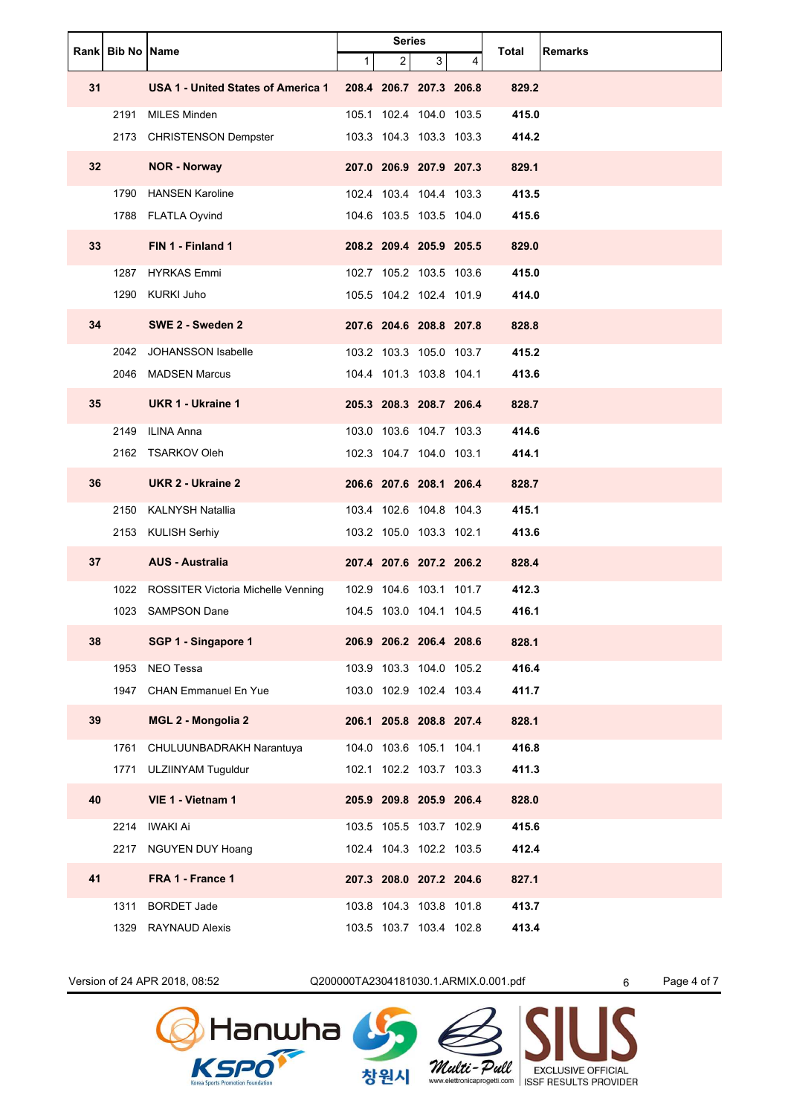|                 | Rank Bib No Name |                                         |              | <b>Series</b>  |                         |   |       | <b>Remarks</b> |
|-----------------|------------------|-----------------------------------------|--------------|----------------|-------------------------|---|-------|----------------|
|                 |                  |                                         | $\mathbf{1}$ | $\overline{2}$ | 3                       | 4 | Total |                |
| 31              |                  | USA 1 - United States of America 1      |              |                | 208.4 206.7 207.3 206.8 |   | 829.2 |                |
|                 | 2191             | <b>MILES Minden</b>                     |              |                | 105.1 102.4 104.0 103.5 |   | 415.0 |                |
|                 |                  | 2173 CHRISTENSON Dempster               |              |                | 103.3 104.3 103.3 103.3 |   | 414.2 |                |
| 32 <sub>2</sub> |                  | <b>NOR - Norway</b>                     |              |                | 207.0 206.9 207.9 207.3 |   | 829.1 |                |
|                 |                  | 1790 HANSEN Karoline                    |              |                | 102.4 103.4 104.4 103.3 |   | 413.5 |                |
|                 |                  | 1788 FLATLA Oyvind                      |              |                | 104.6 103.5 103.5 104.0 |   | 415.6 |                |
| 33              |                  | FIN 1 - Finland 1                       |              |                | 208.2 209.4 205.9 205.5 |   | 829.0 |                |
|                 |                  | 1287 HYRKAS Emmi                        |              |                | 102.7 105.2 103.5 103.6 |   | 415.0 |                |
|                 |                  | 1290 KURKI Juho                         |              |                | 105.5 104.2 102.4 101.9 |   | 414.0 |                |
| 34              |                  | SWE 2 - Sweden 2                        |              |                | 207.6 204.6 208.8 207.8 |   | 828.8 |                |
|                 |                  | 2042 JOHANSSON Isabelle                 |              |                | 103.2 103.3 105.0 103.7 |   | 415.2 |                |
|                 |                  | 2046 MADSEN Marcus                      |              |                | 104.4 101.3 103.8 104.1 |   | 413.6 |                |
| 35              |                  | <b>UKR 1 - Ukraine 1</b>                |              |                | 205.3 208.3 208.7 206.4 |   | 828.7 |                |
|                 |                  | 2149 ILINA Anna                         |              |                | 103.0 103.6 104.7 103.3 |   | 414.6 |                |
|                 |                  | 2162 TSARKOV Oleh                       |              |                | 102.3 104.7 104.0 103.1 |   | 414.1 |                |
| 36              |                  | UKR 2 - Ukraine 2                       |              |                | 206.6 207.6 208.1 206.4 |   | 828.7 |                |
|                 |                  | 2150 KALNYSH Natallia                   |              |                | 103.4 102.6 104.8 104.3 |   | 415.1 |                |
|                 |                  | 2153 KULISH Serhiy                      |              |                | 103.2 105.0 103.3 102.1 |   | 413.6 |                |
| 37              |                  | <b>AUS - Australia</b>                  |              |                | 207.4 207.6 207.2 206.2 |   | 828.4 |                |
|                 |                  | 1022 ROSSITER Victoria Michelle Venning |              |                | 102.9 104.6 103.1 101.7 |   | 412.3 |                |
|                 |                  | 1023 SAMPSON Dane                       |              |                | 104.5 103.0 104.1 104.5 |   | 416.1 |                |
| 38              |                  | SGP 1 - Singapore 1                     |              |                | 206.9 206.2 206.4 208.6 |   | 828.1 |                |
|                 |                  | 1953 NEO Tessa                          |              |                | 103.9 103.3 104.0 105.2 |   | 416.4 |                |
|                 |                  | 1947 CHAN Emmanuel En Yue               |              |                | 103.0 102.9 102.4 103.4 |   | 411.7 |                |
| 39              |                  | <b>MGL 2 - Mongolia 2</b>               |              |                | 206.1 205.8 208.8 207.4 |   | 828.1 |                |
|                 |                  | 1761 CHULUUNBADRAKH Narantuya           |              |                | 104.0 103.6 105.1 104.1 |   | 416.8 |                |
|                 |                  | 1771 ULZIINYAM Tuguldur                 |              |                | 102.1 102.2 103.7 103.3 |   | 411.3 |                |
| 40              |                  | VIE 1 - Vietnam 1                       |              |                | 205.9 209.8 205.9 206.4 |   | 828.0 |                |
|                 |                  | 2214 IWAKI Ai                           |              |                | 103.5 105.5 103.7 102.9 |   | 415.6 |                |
|                 |                  | 2217 NGUYEN DUY Hoang                   |              |                | 102.4 104.3 102.2 103.5 |   | 412.4 |                |
| 41              |                  | FRA 1 - France 1                        |              |                | 207.3 208.0 207.2 204.6 |   | 827.1 |                |
|                 |                  | 1311 BORDET Jade                        |              |                | 103.8 104.3 103.8 101.8 |   | 413.7 |                |
|                 |                  | 1329 RAYNAUD Alexis                     |              |                | 103.5 103.7 103.4 102.8 |   | 413.4 |                |

Version of 24 APR 2018, 08:52 Q200000TA2304181030.1.ARMIX.0.001.pdf 6 Page 4 of 7



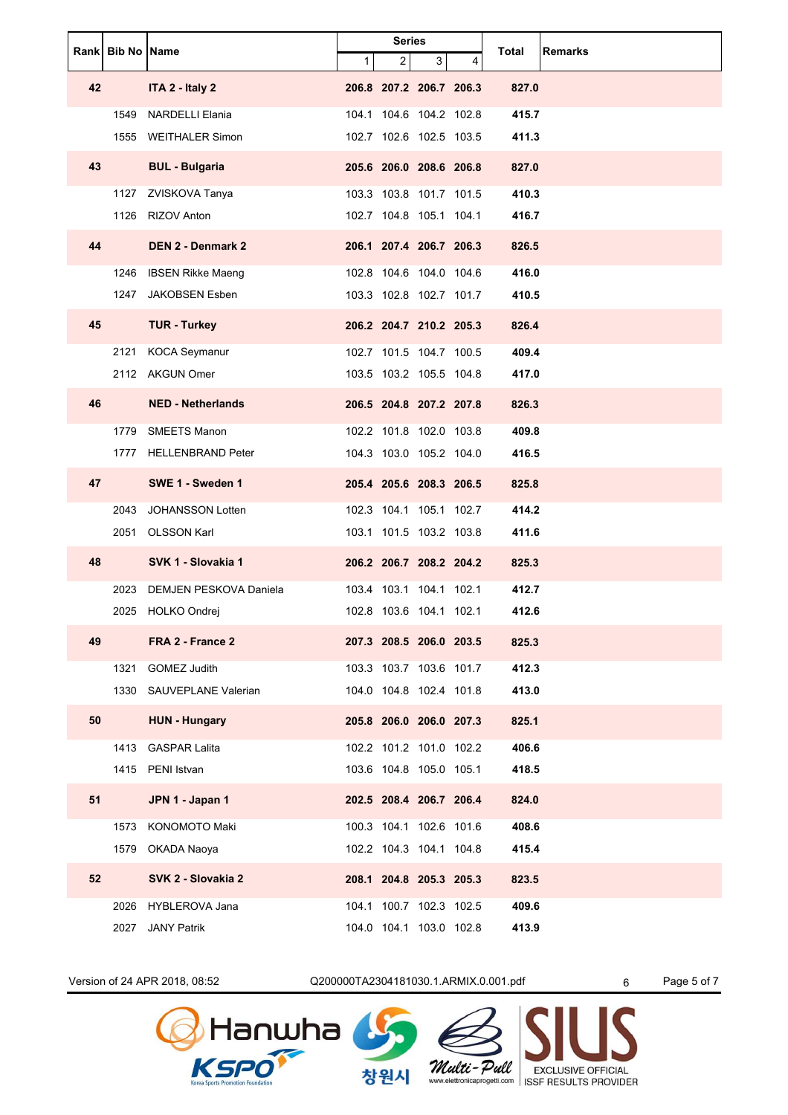|    | Rank Bib No Name |                          | <b>Series</b> |                         | Total | <b>Remarks</b> |       |  |
|----|------------------|--------------------------|---------------|-------------------------|-------|----------------|-------|--|
|    |                  |                          | $\mathbf 1$   | $\overline{2}$          | 3     | 4              |       |  |
| 42 |                  | ITA 2 - Italy 2          |               | 206.8 207.2 206.7 206.3 |       |                | 827.0 |  |
|    | 1549             | <b>NARDELLI Elania</b>   |               | 104.1 104.6 104.2 102.8 |       |                | 415.7 |  |
|    |                  | 1555 WEITHALER Simon     |               | 102.7 102.6 102.5 103.5 |       |                | 411.3 |  |
| 43 |                  | <b>BUL - Bulgaria</b>    |               | 205.6 206.0 208.6 206.8 |       |                | 827.0 |  |
|    |                  | 1127 ZVISKOVA Tanya      |               | 103.3 103.8 101.7 101.5 |       |                | 410.3 |  |
|    |                  | 1126 RIZOV Anton         |               | 102.7 104.8 105.1 104.1 |       |                | 416.7 |  |
| 44 |                  | <b>DEN 2 - Denmark 2</b> |               | 206.1 207.4 206.7 206.3 |       |                | 826.5 |  |
|    |                  | 1246 IBSEN Rikke Maeng   |               | 102.8 104.6 104.0 104.6 |       |                | 416.0 |  |
|    | 1247             | <b>JAKOBSEN Esben</b>    |               | 103.3 102.8 102.7 101.7 |       |                | 410.5 |  |
| 45 |                  | <b>TUR - Turkey</b>      |               | 206.2 204.7 210.2 205.3 |       |                | 826.4 |  |
|    | 2121             | <b>KOCA Seymanur</b>     |               | 102.7 101.5 104.7 100.5 |       |                | 409.4 |  |
|    |                  | 2112 AKGUN Omer          |               | 103.5 103.2 105.5 104.8 |       |                | 417.0 |  |
| 46 |                  | <b>NED - Netherlands</b> |               | 206.5 204.8 207.2 207.8 |       |                | 826.3 |  |
|    |                  | 1779 SMEETS Manon        |               | 102.2 101.8 102.0 103.8 |       |                | 409.8 |  |
|    |                  | 1777 HELLENBRAND Peter   |               | 104.3 103.0 105.2 104.0 |       |                | 416.5 |  |
| 47 |                  | SWE 1 - Sweden 1         |               | 205.4 205.6 208.3 206.5 |       |                | 825.8 |  |
|    | 2043             | JOHANSSON Lotten         |               | 102.3 104.1 105.1 102.7 |       |                | 414.2 |  |
|    | 2051             | <b>OLSSON Karl</b>       |               | 103.1 101.5 103.2 103.8 |       |                | 411.6 |  |
| 48 |                  | SVK 1 - Slovakia 1       |               | 206.2 206.7 208.2 204.2 |       |                | 825.3 |  |
|    | 2023             | DEMJEN PESKOVA Daniela   |               | 103.4 103.1 104.1 102.1 |       |                | 412.7 |  |
|    |                  | 2025 HOLKO Ondrej        |               | 102.8 103.6 104.1 102.1 |       |                | 412.6 |  |
| 49 |                  | FRA 2 - France 2         |               | 207.3 208.5 206.0 203.5 |       |                | 825.3 |  |
|    | 1321             | <b>GOMEZ Judith</b>      |               | 103.3 103.7 103.6 101.7 |       |                | 412.3 |  |
|    |                  | 1330 SAUVEPLANE Valerian |               | 104.0 104.8 102.4 101.8 |       |                | 413.0 |  |
| 50 |                  | <b>HUN - Hungary</b>     |               | 205.8 206.0 206.0 207.3 |       |                | 825.1 |  |
|    |                  | 1413 GASPAR Lalita       |               | 102.2 101.2 101.0 102.2 |       |                | 406.6 |  |
|    |                  | 1415 PENI Istvan         |               | 103.6 104.8 105.0 105.1 |       |                | 418.5 |  |
| 51 |                  | JPN 1 - Japan 1          |               | 202.5 208.4 206.7 206.4 |       |                | 824.0 |  |
|    |                  | 1573 KONOMOTO Maki       |               | 100.3 104.1 102.6 101.6 |       |                | 408.6 |  |
|    |                  | 1579 OKADA Naoya         |               | 102.2 104.3 104.1 104.8 |       |                | 415.4 |  |
| 52 |                  | SVK 2 - Slovakia 2       |               | 208.1 204.8 205.3 205.3 |       |                | 823.5 |  |
|    |                  | 2026 HYBLEROVA Jana      |               | 104.1 100.7 102.3 102.5 |       |                | 409.6 |  |
|    |                  | 2027 JANY Patrik         |               | 104.0 104.1 103.0 102.8 |       |                | 413.9 |  |

Version of 24 APR 2018, 08:52 Q200000TA2304181030.1.ARMIX.0.001.pdf 6 Page 5 of 7





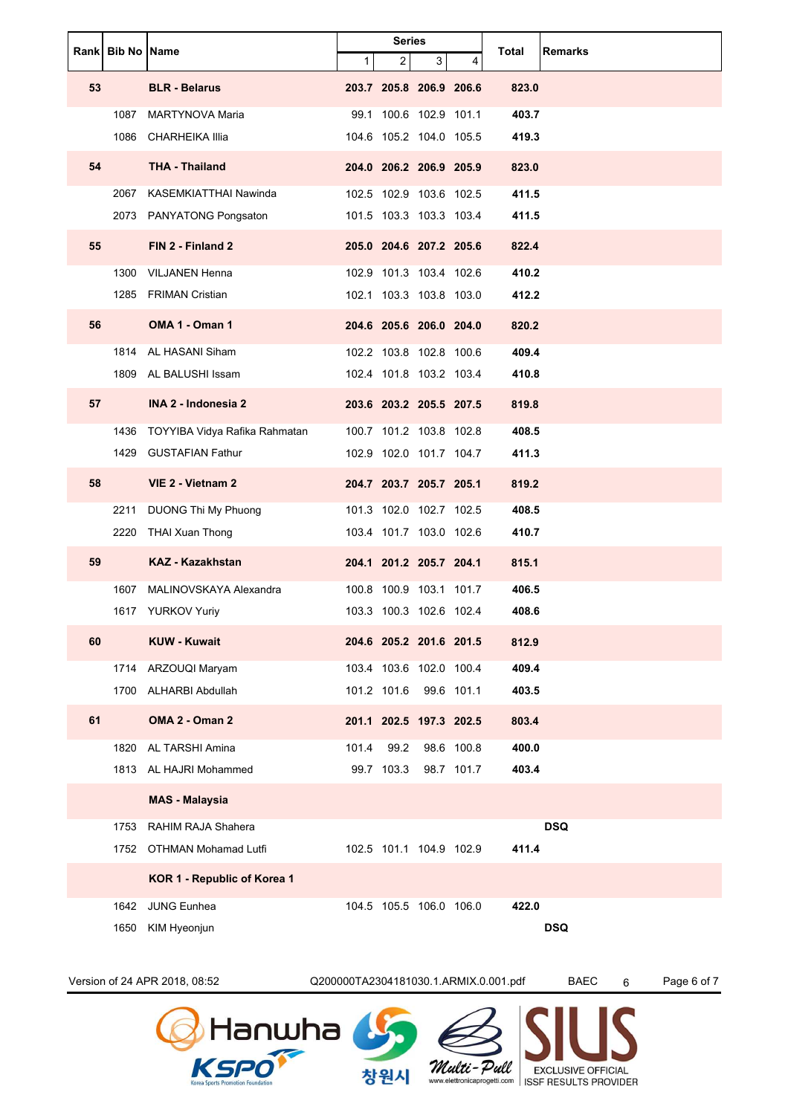| <b>Rankl Bib No IName</b><br>$\overline{2}$<br>3<br>1<br>4<br>53<br><b>BLR</b> - Belarus<br>203.7 205.8 206.9 206.6<br>823.0<br>403.7<br>1087 MARTYNOVA Maria<br>100.6 102.9 101.1<br>99.1<br>104.6 105.2 104.0 105.5<br>1086 CHARHEIKA Illia<br>419.3<br><b>THA - Thailand</b><br>54<br>204.0 206.2 206.9 205.9<br>823.0<br>102.5 102.9 103.6 102.5<br>411.5<br>2067 KASEMKIATTHAI Nawinda<br>2073 PANYATONG Pongsaton<br>101.5 103.3 103.3 103.4<br>411.5<br>55<br>FIN 2 - Finland 2<br>205.0 204.6 207.2 205.6<br>822.4<br>102.9 101.3 103.4 102.6<br>410.2<br><b>VILJANEN Henna</b><br>1300<br>102.1 103.3 103.8 103.0<br>412.2<br>1285 FRIMAN Cristian<br>OMA 1 - Oman 1<br>56<br>204.6 205.6 206.0 204.0<br>820.2<br>102.2 103.8 102.8 100.6<br>409.4<br>1814 AL HASANI Siham<br>102.4 101.8 103.2 103.4<br>1809 AL BALUSHI Issam<br>410.8<br>57<br>INA 2 - Indonesia 2<br>203.6 203.2 205.5 207.5<br>819.8<br>408.5<br>1436 TOYYIBA Vidya Rafika Rahmatan<br>100.7 101.2 103.8 102.8<br>102.9 102.0 101.7 104.7<br>411.3<br>1429 GUSTAFIAN Fathur<br>58<br>VIE 2 - Vietnam 2<br>204.7 203.7 205.7 205.1<br>819.2<br>101.3 102.0 102.7 102.5<br>408.5<br>DUONG Thi My Phuong<br>2211<br>103.4 101.7 103.0 102.6<br>410.7<br>2220 THAI Xuan Thong<br>59<br><b>KAZ - Kazakhstan</b><br>204.1 201.2 205.7 204.1<br>815.1<br>MALINOVSKAYA Alexandra<br>406.5<br>1607<br>100.8 100.9 103.1 101.7<br>103.3 100.3 102.6 102.4<br>1617 YURKOV Yuriy<br>408.6<br><b>KUW - Kuwait</b><br>60<br>204.6 205.2 201.6 201.5<br>812.9<br>409.4<br>103.4 103.6 102.0 100.4<br>1714 ARZOUQI Maryam<br>101.2 101.6<br>99.6 101.1<br>403.5<br>1700 ALHARBI Abdullah<br>61<br>OMA 2 - Oman 2<br>201.1 202.5 197.3 202.5<br>803.4<br>98.6 100.8<br>400.0<br>1820 AL TARSHI Amina<br>99.2<br>101.4<br>1813 AL HAJRI Mohammed<br>99.7 103.3<br>98.7 101.7<br>403.4<br><b>MAS - Malaysia</b><br>1753 RAHIM RAJA Shahera<br><b>DSQ</b><br>102.5 101.1 104.9 102.9<br>411.4<br>1752 OTHMAN Mohamad Lutfi<br>KOR 1 - Republic of Korea 1<br>JUNG Eunhea<br>104.5 105.5 106.0 106.0<br>422.0<br>1642<br><b>DSQ</b><br>KIM Hyeonjun<br>1650 |  | <b>Series</b> |  |  |       |                |
|---------------------------------------------------------------------------------------------------------------------------------------------------------------------------------------------------------------------------------------------------------------------------------------------------------------------------------------------------------------------------------------------------------------------------------------------------------------------------------------------------------------------------------------------------------------------------------------------------------------------------------------------------------------------------------------------------------------------------------------------------------------------------------------------------------------------------------------------------------------------------------------------------------------------------------------------------------------------------------------------------------------------------------------------------------------------------------------------------------------------------------------------------------------------------------------------------------------------------------------------------------------------------------------------------------------------------------------------------------------------------------------------------------------------------------------------------------------------------------------------------------------------------------------------------------------------------------------------------------------------------------------------------------------------------------------------------------------------------------------------------------------------------------------------------------------------------------------------------------------------------------------------------------------------------------------------------------------------------------------------------------------------------------------------------------------------------------------------------------------------|--|---------------|--|--|-------|----------------|
|                                                                                                                                                                                                                                                                                                                                                                                                                                                                                                                                                                                                                                                                                                                                                                                                                                                                                                                                                                                                                                                                                                                                                                                                                                                                                                                                                                                                                                                                                                                                                                                                                                                                                                                                                                                                                                                                                                                                                                                                                                                                                                                     |  |               |  |  | Total | <b>Remarks</b> |
|                                                                                                                                                                                                                                                                                                                                                                                                                                                                                                                                                                                                                                                                                                                                                                                                                                                                                                                                                                                                                                                                                                                                                                                                                                                                                                                                                                                                                                                                                                                                                                                                                                                                                                                                                                                                                                                                                                                                                                                                                                                                                                                     |  |               |  |  |       |                |
|                                                                                                                                                                                                                                                                                                                                                                                                                                                                                                                                                                                                                                                                                                                                                                                                                                                                                                                                                                                                                                                                                                                                                                                                                                                                                                                                                                                                                                                                                                                                                                                                                                                                                                                                                                                                                                                                                                                                                                                                                                                                                                                     |  |               |  |  |       |                |
|                                                                                                                                                                                                                                                                                                                                                                                                                                                                                                                                                                                                                                                                                                                                                                                                                                                                                                                                                                                                                                                                                                                                                                                                                                                                                                                                                                                                                                                                                                                                                                                                                                                                                                                                                                                                                                                                                                                                                                                                                                                                                                                     |  |               |  |  |       |                |
|                                                                                                                                                                                                                                                                                                                                                                                                                                                                                                                                                                                                                                                                                                                                                                                                                                                                                                                                                                                                                                                                                                                                                                                                                                                                                                                                                                                                                                                                                                                                                                                                                                                                                                                                                                                                                                                                                                                                                                                                                                                                                                                     |  |               |  |  |       |                |
|                                                                                                                                                                                                                                                                                                                                                                                                                                                                                                                                                                                                                                                                                                                                                                                                                                                                                                                                                                                                                                                                                                                                                                                                                                                                                                                                                                                                                                                                                                                                                                                                                                                                                                                                                                                                                                                                                                                                                                                                                                                                                                                     |  |               |  |  |       |                |
|                                                                                                                                                                                                                                                                                                                                                                                                                                                                                                                                                                                                                                                                                                                                                                                                                                                                                                                                                                                                                                                                                                                                                                                                                                                                                                                                                                                                                                                                                                                                                                                                                                                                                                                                                                                                                                                                                                                                                                                                                                                                                                                     |  |               |  |  |       |                |
|                                                                                                                                                                                                                                                                                                                                                                                                                                                                                                                                                                                                                                                                                                                                                                                                                                                                                                                                                                                                                                                                                                                                                                                                                                                                                                                                                                                                                                                                                                                                                                                                                                                                                                                                                                                                                                                                                                                                                                                                                                                                                                                     |  |               |  |  |       |                |
|                                                                                                                                                                                                                                                                                                                                                                                                                                                                                                                                                                                                                                                                                                                                                                                                                                                                                                                                                                                                                                                                                                                                                                                                                                                                                                                                                                                                                                                                                                                                                                                                                                                                                                                                                                                                                                                                                                                                                                                                                                                                                                                     |  |               |  |  |       |                |
|                                                                                                                                                                                                                                                                                                                                                                                                                                                                                                                                                                                                                                                                                                                                                                                                                                                                                                                                                                                                                                                                                                                                                                                                                                                                                                                                                                                                                                                                                                                                                                                                                                                                                                                                                                                                                                                                                                                                                                                                                                                                                                                     |  |               |  |  |       |                |
|                                                                                                                                                                                                                                                                                                                                                                                                                                                                                                                                                                                                                                                                                                                                                                                                                                                                                                                                                                                                                                                                                                                                                                                                                                                                                                                                                                                                                                                                                                                                                                                                                                                                                                                                                                                                                                                                                                                                                                                                                                                                                                                     |  |               |  |  |       |                |
|                                                                                                                                                                                                                                                                                                                                                                                                                                                                                                                                                                                                                                                                                                                                                                                                                                                                                                                                                                                                                                                                                                                                                                                                                                                                                                                                                                                                                                                                                                                                                                                                                                                                                                                                                                                                                                                                                                                                                                                                                                                                                                                     |  |               |  |  |       |                |
|                                                                                                                                                                                                                                                                                                                                                                                                                                                                                                                                                                                                                                                                                                                                                                                                                                                                                                                                                                                                                                                                                                                                                                                                                                                                                                                                                                                                                                                                                                                                                                                                                                                                                                                                                                                                                                                                                                                                                                                                                                                                                                                     |  |               |  |  |       |                |
|                                                                                                                                                                                                                                                                                                                                                                                                                                                                                                                                                                                                                                                                                                                                                                                                                                                                                                                                                                                                                                                                                                                                                                                                                                                                                                                                                                                                                                                                                                                                                                                                                                                                                                                                                                                                                                                                                                                                                                                                                                                                                                                     |  |               |  |  |       |                |
|                                                                                                                                                                                                                                                                                                                                                                                                                                                                                                                                                                                                                                                                                                                                                                                                                                                                                                                                                                                                                                                                                                                                                                                                                                                                                                                                                                                                                                                                                                                                                                                                                                                                                                                                                                                                                                                                                                                                                                                                                                                                                                                     |  |               |  |  |       |                |
|                                                                                                                                                                                                                                                                                                                                                                                                                                                                                                                                                                                                                                                                                                                                                                                                                                                                                                                                                                                                                                                                                                                                                                                                                                                                                                                                                                                                                                                                                                                                                                                                                                                                                                                                                                                                                                                                                                                                                                                                                                                                                                                     |  |               |  |  |       |                |
|                                                                                                                                                                                                                                                                                                                                                                                                                                                                                                                                                                                                                                                                                                                                                                                                                                                                                                                                                                                                                                                                                                                                                                                                                                                                                                                                                                                                                                                                                                                                                                                                                                                                                                                                                                                                                                                                                                                                                                                                                                                                                                                     |  |               |  |  |       |                |
|                                                                                                                                                                                                                                                                                                                                                                                                                                                                                                                                                                                                                                                                                                                                                                                                                                                                                                                                                                                                                                                                                                                                                                                                                                                                                                                                                                                                                                                                                                                                                                                                                                                                                                                                                                                                                                                                                                                                                                                                                                                                                                                     |  |               |  |  |       |                |
|                                                                                                                                                                                                                                                                                                                                                                                                                                                                                                                                                                                                                                                                                                                                                                                                                                                                                                                                                                                                                                                                                                                                                                                                                                                                                                                                                                                                                                                                                                                                                                                                                                                                                                                                                                                                                                                                                                                                                                                                                                                                                                                     |  |               |  |  |       |                |
|                                                                                                                                                                                                                                                                                                                                                                                                                                                                                                                                                                                                                                                                                                                                                                                                                                                                                                                                                                                                                                                                                                                                                                                                                                                                                                                                                                                                                                                                                                                                                                                                                                                                                                                                                                                                                                                                                                                                                                                                                                                                                                                     |  |               |  |  |       |                |
|                                                                                                                                                                                                                                                                                                                                                                                                                                                                                                                                                                                                                                                                                                                                                                                                                                                                                                                                                                                                                                                                                                                                                                                                                                                                                                                                                                                                                                                                                                                                                                                                                                                                                                                                                                                                                                                                                                                                                                                                                                                                                                                     |  |               |  |  |       |                |
|                                                                                                                                                                                                                                                                                                                                                                                                                                                                                                                                                                                                                                                                                                                                                                                                                                                                                                                                                                                                                                                                                                                                                                                                                                                                                                                                                                                                                                                                                                                                                                                                                                                                                                                                                                                                                                                                                                                                                                                                                                                                                                                     |  |               |  |  |       |                |
|                                                                                                                                                                                                                                                                                                                                                                                                                                                                                                                                                                                                                                                                                                                                                                                                                                                                                                                                                                                                                                                                                                                                                                                                                                                                                                                                                                                                                                                                                                                                                                                                                                                                                                                                                                                                                                                                                                                                                                                                                                                                                                                     |  |               |  |  |       |                |
|                                                                                                                                                                                                                                                                                                                                                                                                                                                                                                                                                                                                                                                                                                                                                                                                                                                                                                                                                                                                                                                                                                                                                                                                                                                                                                                                                                                                                                                                                                                                                                                                                                                                                                                                                                                                                                                                                                                                                                                                                                                                                                                     |  |               |  |  |       |                |
|                                                                                                                                                                                                                                                                                                                                                                                                                                                                                                                                                                                                                                                                                                                                                                                                                                                                                                                                                                                                                                                                                                                                                                                                                                                                                                                                                                                                                                                                                                                                                                                                                                                                                                                                                                                                                                                                                                                                                                                                                                                                                                                     |  |               |  |  |       |                |
|                                                                                                                                                                                                                                                                                                                                                                                                                                                                                                                                                                                                                                                                                                                                                                                                                                                                                                                                                                                                                                                                                                                                                                                                                                                                                                                                                                                                                                                                                                                                                                                                                                                                                                                                                                                                                                                                                                                                                                                                                                                                                                                     |  |               |  |  |       |                |
|                                                                                                                                                                                                                                                                                                                                                                                                                                                                                                                                                                                                                                                                                                                                                                                                                                                                                                                                                                                                                                                                                                                                                                                                                                                                                                                                                                                                                                                                                                                                                                                                                                                                                                                                                                                                                                                                                                                                                                                                                                                                                                                     |  |               |  |  |       |                |
|                                                                                                                                                                                                                                                                                                                                                                                                                                                                                                                                                                                                                                                                                                                                                                                                                                                                                                                                                                                                                                                                                                                                                                                                                                                                                                                                                                                                                                                                                                                                                                                                                                                                                                                                                                                                                                                                                                                                                                                                                                                                                                                     |  |               |  |  |       |                |
|                                                                                                                                                                                                                                                                                                                                                                                                                                                                                                                                                                                                                                                                                                                                                                                                                                                                                                                                                                                                                                                                                                                                                                                                                                                                                                                                                                                                                                                                                                                                                                                                                                                                                                                                                                                                                                                                                                                                                                                                                                                                                                                     |  |               |  |  |       |                |
|                                                                                                                                                                                                                                                                                                                                                                                                                                                                                                                                                                                                                                                                                                                                                                                                                                                                                                                                                                                                                                                                                                                                                                                                                                                                                                                                                                                                                                                                                                                                                                                                                                                                                                                                                                                                                                                                                                                                                                                                                                                                                                                     |  |               |  |  |       |                |
|                                                                                                                                                                                                                                                                                                                                                                                                                                                                                                                                                                                                                                                                                                                                                                                                                                                                                                                                                                                                                                                                                                                                                                                                                                                                                                                                                                                                                                                                                                                                                                                                                                                                                                                                                                                                                                                                                                                                                                                                                                                                                                                     |  |               |  |  |       |                |
|                                                                                                                                                                                                                                                                                                                                                                                                                                                                                                                                                                                                                                                                                                                                                                                                                                                                                                                                                                                                                                                                                                                                                                                                                                                                                                                                                                                                                                                                                                                                                                                                                                                                                                                                                                                                                                                                                                                                                                                                                                                                                                                     |  |               |  |  |       |                |
|                                                                                                                                                                                                                                                                                                                                                                                                                                                                                                                                                                                                                                                                                                                                                                                                                                                                                                                                                                                                                                                                                                                                                                                                                                                                                                                                                                                                                                                                                                                                                                                                                                                                                                                                                                                                                                                                                                                                                                                                                                                                                                                     |  |               |  |  |       |                |
|                                                                                                                                                                                                                                                                                                                                                                                                                                                                                                                                                                                                                                                                                                                                                                                                                                                                                                                                                                                                                                                                                                                                                                                                                                                                                                                                                                                                                                                                                                                                                                                                                                                                                                                                                                                                                                                                                                                                                                                                                                                                                                                     |  |               |  |  |       |                |
|                                                                                                                                                                                                                                                                                                                                                                                                                                                                                                                                                                                                                                                                                                                                                                                                                                                                                                                                                                                                                                                                                                                                                                                                                                                                                                                                                                                                                                                                                                                                                                                                                                                                                                                                                                                                                                                                                                                                                                                                                                                                                                                     |  |               |  |  |       |                |

Version of 24 APR 2018, 08:52 Q200000TA2304181030.1.ARMIX.0.001.pdf BAEC 6 Page 6 of 7